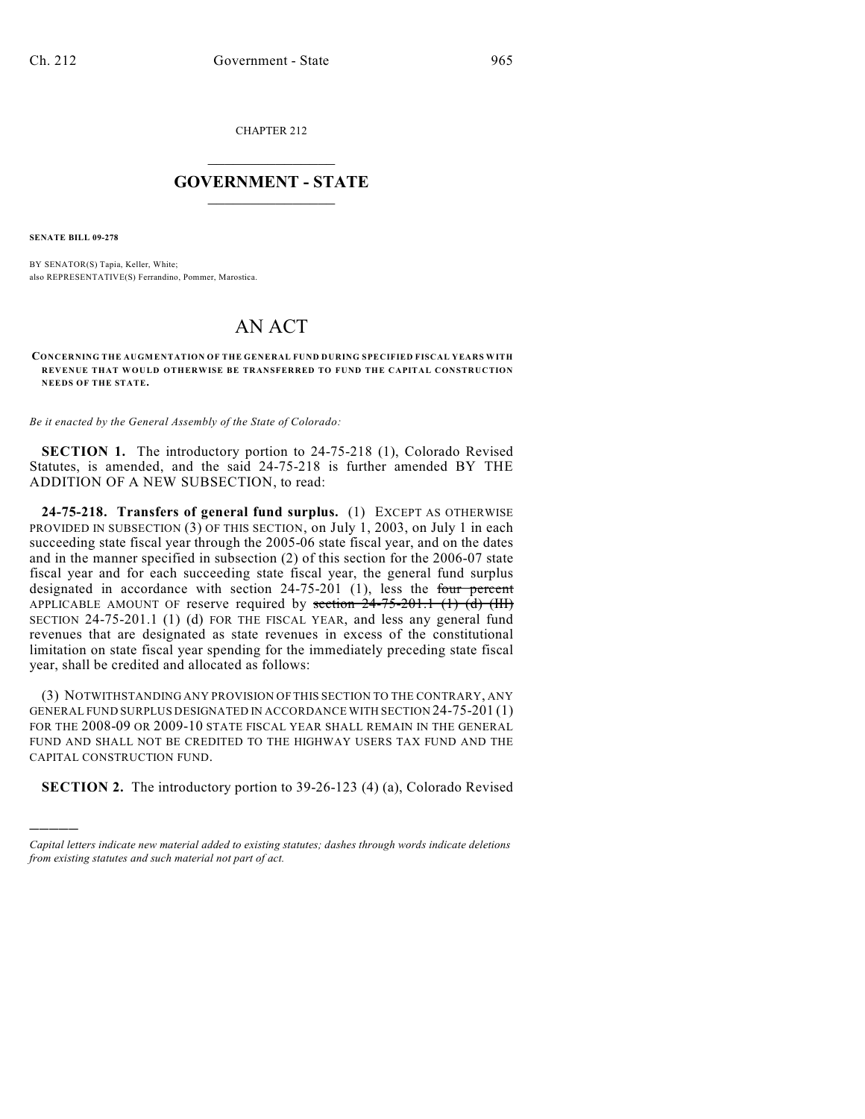CHAPTER 212

## $\mathcal{L}_\text{max}$  . The set of the set of the set of the set of the set of the set of the set of the set of the set of the set of the set of the set of the set of the set of the set of the set of the set of the set of the set **GOVERNMENT - STATE**  $\_$   $\_$   $\_$   $\_$   $\_$   $\_$   $\_$   $\_$   $\_$

**SENATE BILL 09-278**

)))))

BY SENATOR(S) Tapia, Keller, White; also REPRESENTATIVE(S) Ferrandino, Pommer, Marostica.

## AN ACT

**CONCERNING THE AUGMENTATION OF THE GENERAL FUND DURING SPECIFIED FISCAL YEARS WITH REVENUE THAT WOULD OTHERWISE BE TRANSFERRED TO FUND THE CAPITAL CONSTRUCTION NEEDS OF THE STATE.**

*Be it enacted by the General Assembly of the State of Colorado:*

**SECTION 1.** The introductory portion to 24-75-218 (1), Colorado Revised Statutes, is amended, and the said 24-75-218 is further amended BY THE ADDITION OF A NEW SUBSECTION, to read:

**24-75-218. Transfers of general fund surplus.** (1) EXCEPT AS OTHERWISE PROVIDED IN SUBSECTION (3) OF THIS SECTION, on July 1, 2003, on July 1 in each succeeding state fiscal year through the 2005-06 state fiscal year, and on the dates and in the manner specified in subsection (2) of this section for the 2006-07 state fiscal year and for each succeeding state fiscal year, the general fund surplus designated in accordance with section  $24-75-201$  (1), less the four percent APPLICABLE AMOUNT OF reserve required by section  $24-75-201.1$  (1) (d) (III) SECTION 24-75-201.1 (1) (d) FOR THE FISCAL YEAR, and less any general fund revenues that are designated as state revenues in excess of the constitutional limitation on state fiscal year spending for the immediately preceding state fiscal year, shall be credited and allocated as follows:

(3) NOTWITHSTANDING ANY PROVISION OF THIS SECTION TO THE CONTRARY, ANY GENERAL FUND SURPLUS DESIGNATED IN ACCORDANCE WITH SECTION 24-75-201 (1) FOR THE 2008-09 OR 2009-10 STATE FISCAL YEAR SHALL REMAIN IN THE GENERAL FUND AND SHALL NOT BE CREDITED TO THE HIGHWAY USERS TAX FUND AND THE CAPITAL CONSTRUCTION FUND.

**SECTION 2.** The introductory portion to 39-26-123 (4) (a), Colorado Revised

*Capital letters indicate new material added to existing statutes; dashes through words indicate deletions from existing statutes and such material not part of act.*